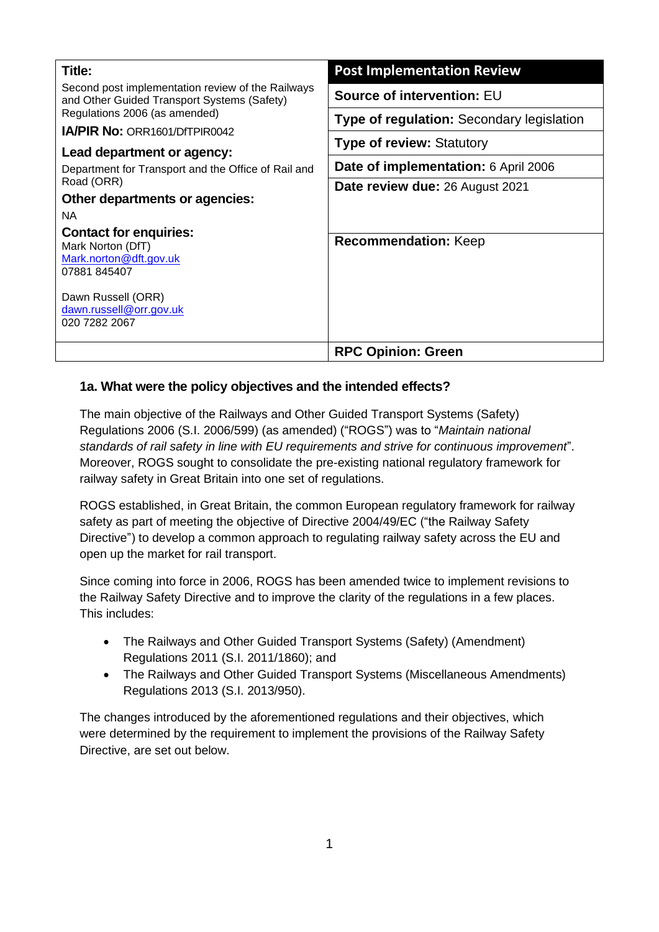| Title:                                                                                           | <b>Post Implementation Review</b>                |  |
|--------------------------------------------------------------------------------------------------|--------------------------------------------------|--|
| Second post implementation review of the Railways<br>and Other Guided Transport Systems (Safety) | Source of intervention: EU                       |  |
| Regulations 2006 (as amended)                                                                    | <b>Type of regulation: Secondary legislation</b> |  |
| <b>IA/PIR No: ORR1601/DfTPIR0042</b>                                                             |                                                  |  |
| Lead department or agency:<br>Department for Transport and the Office of Rail and                | <b>Type of review: Statutory</b>                 |  |
|                                                                                                  | Date of implementation: 6 April 2006             |  |
| Road (ORR)                                                                                       | Date review due: 26 August 2021                  |  |
| Other departments or agencies:                                                                   |                                                  |  |
| <b>NA</b>                                                                                        |                                                  |  |
| <b>Contact for enquiries:</b><br>Mark Norton (DfT)<br>Mark.norton@dft.gov.uk<br>07881 845407     | <b>Recommendation: Keep</b>                      |  |
| Dawn Russell (ORR)<br>dawn.russell@orr.gov.uk<br>020 7282 2067                                   |                                                  |  |
|                                                                                                  | <b>RPC Opinion: Green</b>                        |  |

## **1a. What were the policy objectives and the intended effects?**

The main objective of the Railways and Other Guided Transport Systems (Safety) Regulations 2006 (S.I. 2006/599) (as amended) ("ROGS") was to "*Maintain national standards of rail safety in line with EU requirements and strive for continuous improvement*". Moreover, ROGS sought to consolidate the pre-existing national regulatory framework for railway safety in Great Britain into one set of regulations.

ROGS established, in Great Britain, the common European regulatory framework for railway safety as part of meeting the objective of Directive 2004/49/EC ("the Railway Safety Directive") to develop a common approach to regulating railway safety across the EU and open up the market for rail transport.

Since coming into force in 2006, ROGS has been amended twice to implement revisions to the Railway Safety Directive and to improve the clarity of the regulations in a few places. This includes:

- The Railways and Other Guided Transport Systems (Safety) (Amendment) Regulations 2011 (S.I. 2011/1860); and
- The Railways and Other Guided Transport Systems (Miscellaneous Amendments) Regulations 2013 (S.I. 2013/950).

The changes introduced by the aforementioned regulations and their objectives, which were determined by the requirement to implement the provisions of the Railway Safety Directive, are set out below.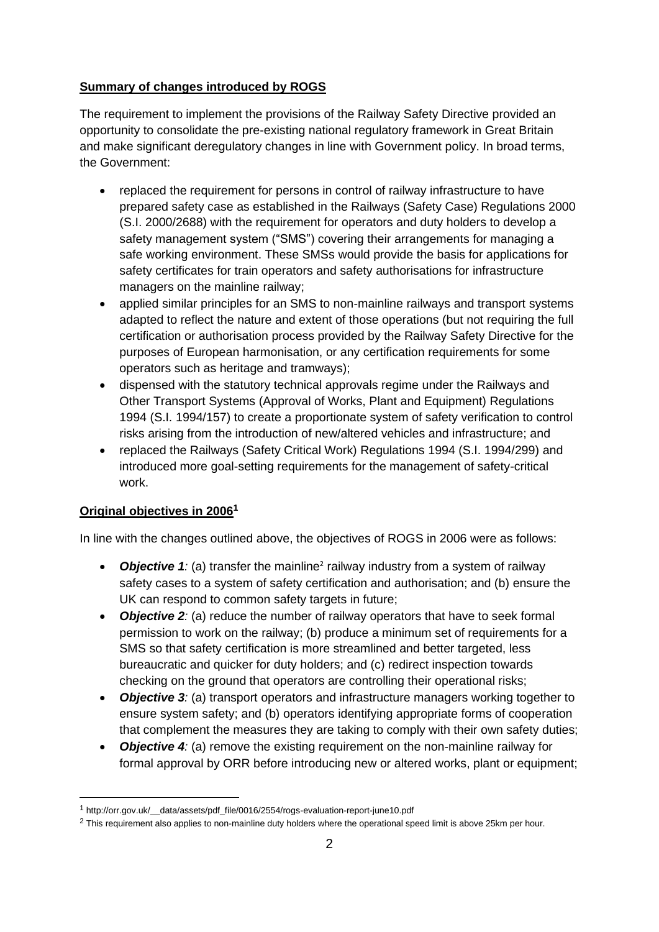## **Summary of changes introduced by ROGS**

The requirement to implement the provisions of the Railway Safety Directive provided an opportunity to consolidate the pre-existing national regulatory framework in Great Britain and make significant deregulatory changes in line with Government policy. In broad terms, the Government:

- replaced the requirement for persons in control of railway infrastructure to have prepared safety case as established in the Railways (Safety Case) Regulations 2000 (S.I. 2000/2688) with the requirement for operators and duty holders to develop a safety management system ("SMS") covering their arrangements for managing a safe working environment. These SMSs would provide the basis for applications for safety certificates for train operators and safety authorisations for infrastructure managers on the mainline railway;
- applied similar principles for an SMS to non-mainline railways and transport systems adapted to reflect the nature and extent of those operations (but not requiring the full certification or authorisation process provided by the Railway Safety Directive for the purposes of European harmonisation, or any certification requirements for some operators such as heritage and tramways);
- dispensed with the statutory technical approvals regime under the Railways and Other Transport Systems (Approval of Works, Plant and Equipment) Regulations 1994 (S.I. 1994/157) to create a proportionate system of safety verification to control risks arising from the introduction of new/altered vehicles and infrastructure; and
- replaced the Railways (Safety Critical Work) Regulations 1994 (S.I. 1994/299) and introduced more goal-setting requirements for the management of safety-critical work.

#### **Original objectives in 2006<sup>1</sup>**

In line with the changes outlined above, the objectives of ROGS in 2006 were as follows:

- Objective 1: (a) transfer the mainline<sup>2</sup> railway industry from a system of railway safety cases to a system of safety certification and authorisation; and (b) ensure the UK can respond to common safety targets in future;
- *Objective 2: (a) reduce the number of railway operators that have to seek formal* permission to work on the railway; (b) produce a minimum set of requirements for a SMS so that safety certification is more streamlined and better targeted, less bureaucratic and quicker for duty holders; and (c) redirect inspection towards checking on the ground that operators are controlling their operational risks;
- *Objective 3:* (a) transport operators and infrastructure managers working together to ensure system safety; and (b) operators identifying appropriate forms of cooperation that complement the measures they are taking to comply with their own safety duties;
- *Objective 4:* (a) remove the existing requirement on the non-mainline railway for formal approval by ORR before introducing new or altered works, plant or equipment;

<sup>1</sup> http://orr.gov.uk/\_\_data/assets/pdf\_file/0016/2554/rogs-evaluation-report-june10.pdf

<sup>&</sup>lt;sup>2</sup> This requirement also applies to non-mainline duty holders where the operational speed limit is above 25km per hour.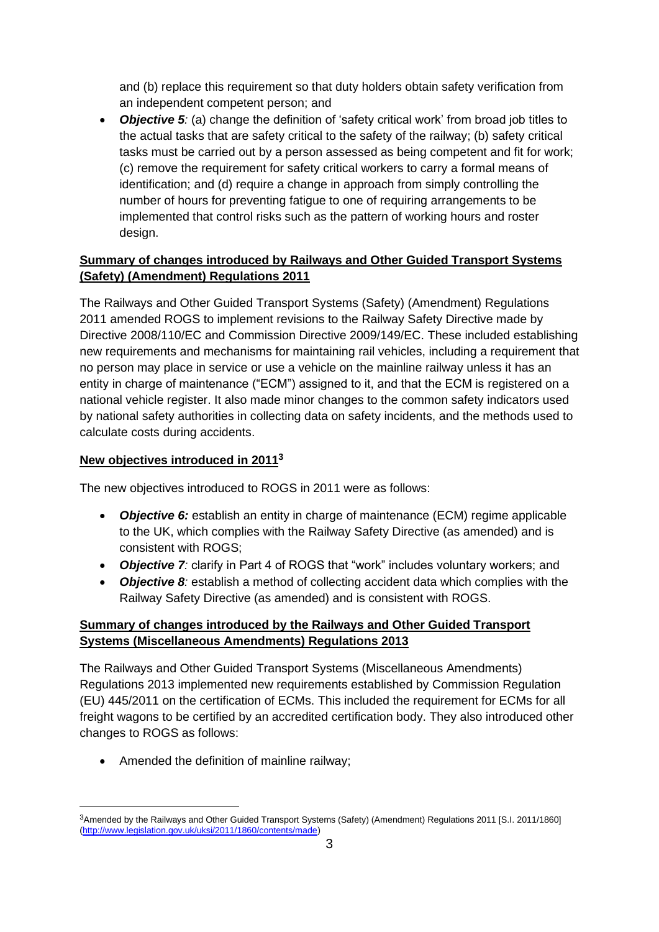and (b) replace this requirement so that duty holders obtain safety verification from an independent competent person; and

• *Objective 5:* (a) change the definition of 'safety critical work' from broad job titles to the actual tasks that are safety critical to the safety of the railway; (b) safety critical tasks must be carried out by a person assessed as being competent and fit for work; (c) remove the requirement for safety critical workers to carry a formal means of identification; and (d) require a change in approach from simply controlling the number of hours for preventing fatigue to one of requiring arrangements to be implemented that control risks such as the pattern of working hours and roster design.

# **Summary of changes introduced by Railways and Other Guided Transport Systems (Safety) (Amendment) Regulations 2011**

The Railways and Other Guided Transport Systems (Safety) (Amendment) Regulations 2011 amended ROGS to implement revisions to the Railway Safety Directive made by Directive 2008/110/EC and Commission Directive 2009/149/EC. These included establishing new requirements and mechanisms for maintaining rail vehicles, including a requirement that no person may place in service or use a vehicle on the mainline railway unless it has an entity in charge of maintenance ("ECM") assigned to it, and that the ECM is registered on a national vehicle register. It also made minor changes to the common safety indicators used by national safety authorities in collecting data on safety incidents, and the methods used to calculate costs during accidents.

# **New objectives introduced in 2011<sup>3</sup>**

The new objectives introduced to ROGS in 2011 were as follows:

- *Objective 6:* establish an entity in charge of maintenance (ECM) regime applicable to the UK, which complies with the Railway Safety Directive (as amended) and is consistent with ROGS;
- *Objective 7:* clarify in Part 4 of ROGS that "work" includes voluntary workers; and
- **Objective 8**: establish a method of collecting accident data which complies with the Railway Safety Directive (as amended) and is consistent with ROGS.

# **Summary of changes introduced by the Railways and Other Guided Transport Systems (Miscellaneous Amendments) Regulations 2013**

The Railways and Other Guided Transport Systems (Miscellaneous Amendments) Regulations 2013 implemented new requirements established by Commission Regulation (EU) 445/2011 on the certification of ECMs. This included the requirement for ECMs for all freight wagons to be certified by an accredited certification body. They also introduced other changes to ROGS as follows:

• Amended the definition of mainline railway;

<sup>3</sup>Amended by the Railways and Other Guided Transport Systems (Safety) (Amendment) Regulations 2011 [S.I. 2011/1860] [\(http://www.legislation.gov.uk/uksi/2011/1860/contents/made\)](http://www.legislation.gov.uk/uksi/2011/1860/contents/made)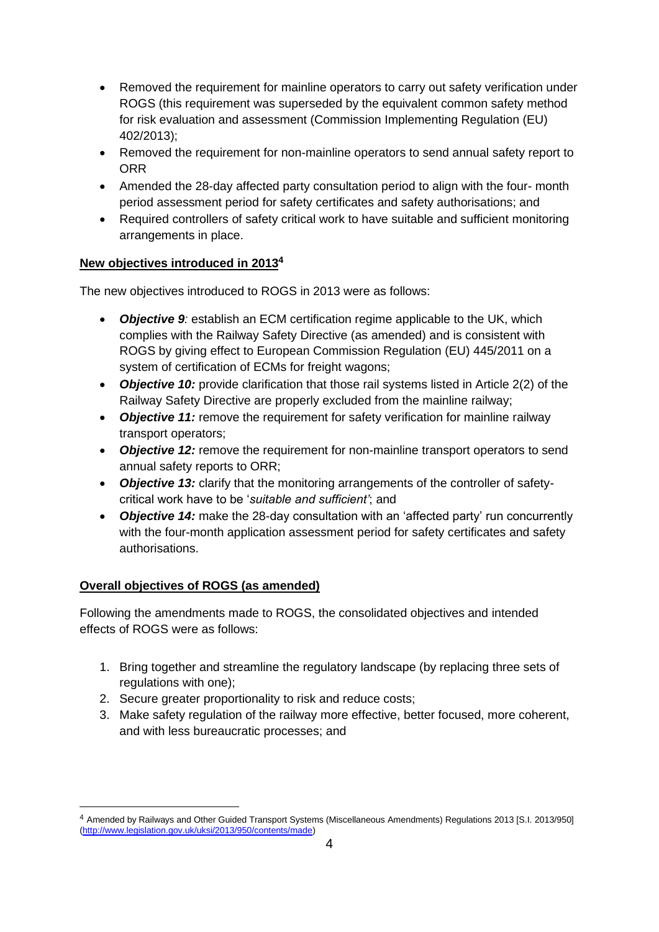- Removed the requirement for mainline operators to carry out safety verification under ROGS (this requirement was superseded by the equivalent common safety method for risk evaluation and assessment (Commission Implementing Regulation (EU) 402/2013);
- Removed the requirement for non-mainline operators to send annual safety report to ORR
- Amended the 28-day affected party consultation period to align with the four- month period assessment period for safety certificates and safety authorisations; and
- Required controllers of safety critical work to have suitable and sufficient monitoring arrangements in place.

## **New objectives introduced in 2013<sup>4</sup>**

The new objectives introduced to ROGS in 2013 were as follows:

- *Objective 9:* establish an ECM certification regime applicable to the UK, which complies with the Railway Safety Directive (as amended) and is consistent with ROGS by giving effect to European Commission Regulation (EU) 445/2011 on a system of certification of ECMs for freight wagons;
- *Objective 10:* provide clarification that those rail systems listed in Article 2(2) of the Railway Safety Directive are properly excluded from the mainline railway;
- *Objective 11:* remove the requirement for safety verification for mainline railway transport operators;
- *Objective 12:* remove the requirement for non-mainline transport operators to send annual safety reports to ORR;
- *Objective 13:* clarify that the monitoring arrangements of the controller of safetycritical work have to be '*suitable and sufficient'*; and
- *Objective 14:* make the 28-day consultation with an 'affected party' run concurrently with the four-month application assessment period for safety certificates and safety authorisations.

## **Overall objectives of ROGS (as amended)**

Following the amendments made to ROGS, the consolidated objectives and intended effects of ROGS were as follows:

- 1. Bring together and streamline the regulatory landscape (by replacing three sets of regulations with one);
- 2. Secure greater proportionality to risk and reduce costs;
- 3. Make safety regulation of the railway more effective, better focused, more coherent, and with less bureaucratic processes; and

<sup>4</sup> Amended by Railways and Other Guided Transport Systems (Miscellaneous Amendments) Regulations 2013 [S.I. 2013/950] [\(http://www.legislation.gov.uk/uksi/2013/950/contents/made\)](http://www.legislation.gov.uk/uksi/2013/950/contents/made)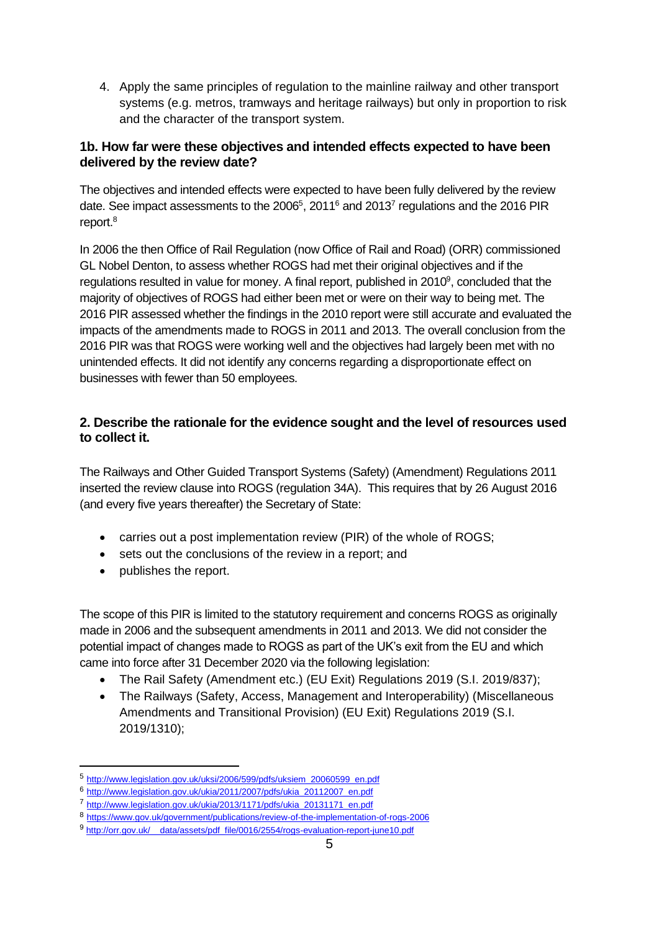4. Apply the same principles of regulation to the mainline railway and other transport systems (e.g. metros, tramways and heritage railways) but only in proportion to risk and the character of the transport system.

## **1b. How far were these objectives and intended effects expected to have been delivered by the review date?**

The objectives and intended effects were expected to have been fully delivered by the review date. See impact assessments to the 2006<sup>5</sup>, 2011<sup>6</sup> and 2013<sup>7</sup> regulations and the 2016 PIR report.<sup>8</sup>

In 2006 the then Office of Rail Regulation (now Office of Rail and Road) (ORR) commissioned GL Nobel Denton, to assess whether ROGS had met their original objectives and if the regulations resulted in value for money. A final report, published in 2010<sup>9</sup>, concluded that the majority of objectives of ROGS had either been met or were on their way to being met. The 2016 PIR assessed whether the findings in the 2010 report were still accurate and evaluated the impacts of the amendments made to ROGS in 2011 and 2013. The overall conclusion from the 2016 PIR was that ROGS were working well and the objectives had largely been met with no unintended effects. It did not identify any concerns regarding a disproportionate effect on businesses with fewer than 50 employees.

# **2. Describe the rationale for the evidence sought and the level of resources used to collect it.**

The Railways and Other Guided Transport Systems (Safety) (Amendment) Regulations 2011 inserted the review clause into ROGS (regulation 34A). This requires that by 26 August 2016 (and every five years thereafter) the Secretary of State:

- carries out a post implementation review (PIR) of the whole of ROGS;
- sets out the conclusions of the review in a report; and
- publishes the report.

The scope of this PIR is limited to the statutory requirement and concerns ROGS as originally made in 2006 and the subsequent amendments in 2011 and 2013. We did not consider the potential impact of changes made to ROGS as part of the UK's exit from the EU and which came into force after 31 December 2020 via the following legislation:

- The Rail Safety (Amendment etc.) (EU Exit) Regulations 2019 (S.I. 2019/837);
- The Railways (Safety, Access, Management and Interoperability) (Miscellaneous Amendments and Transitional Provision) (EU Exit) Regulations 2019 (S.I. 2019/1310);

<sup>5</sup> [http://www.legislation.gov.uk/uksi/2006/599/pdfs/uksiem\\_20060599\\_en.pdf](http://www.legislation.gov.uk/uksi/2006/599/pdfs/uksiem_20060599_en.pdf)

<sup>6</sup> [http://www.legislation.gov.uk/ukia/2011/2007/pdfs/ukia\\_20112007\\_en.pdf](http://www.legislation.gov.uk/ukia/2011/2007/pdfs/ukia_20112007_en.pdf)

<sup>7</sup> [http://www.legislation.gov.uk/ukia/2013/1171/pdfs/ukia\\_20131171\\_en.pdf](http://www.legislation.gov.uk/ukia/2013/1171/pdfs/ukia_20131171_en.pdf)

<sup>8</sup> <https://www.gov.uk/government/publications/review-of-the-implementation-of-rogs-2006>

<sup>9</sup> http://orr.gov.uk/ data/assets/pdf file/0016/2554/rogs-evaluation-report-june10.pdf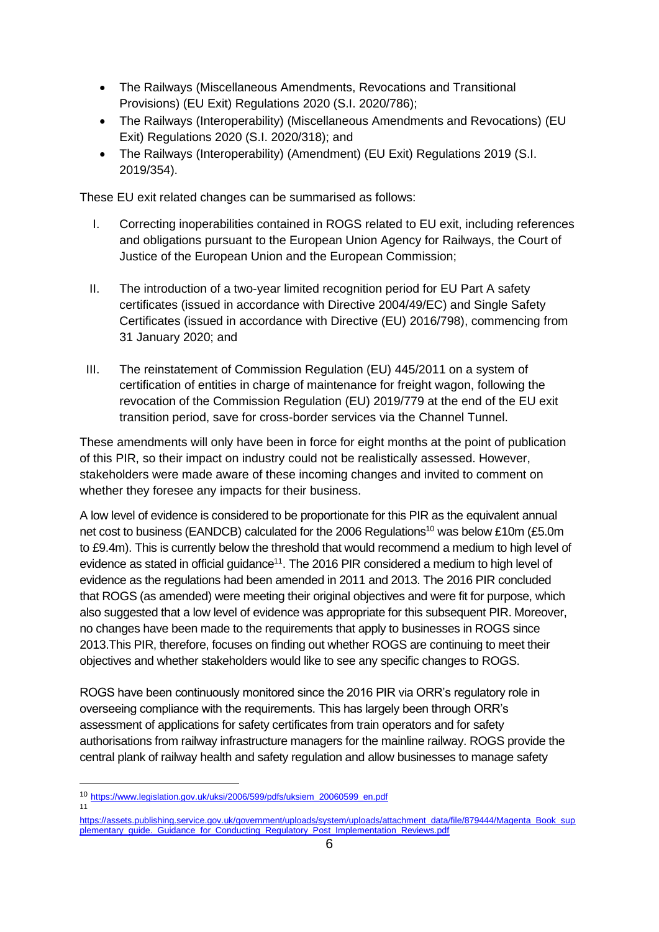- The Railways (Miscellaneous Amendments, Revocations and Transitional Provisions) (EU Exit) Regulations 2020 (S.I. 2020/786);
- The Railways (Interoperability) (Miscellaneous Amendments and Revocations) (EU Exit) Regulations 2020 (S.I. 2020/318); and
- The Railways (Interoperability) (Amendment) (EU Exit) Regulations 2019 (S.I. 2019/354).

These EU exit related changes can be summarised as follows:

- I. Correcting inoperabilities contained in ROGS related to EU exit, including references and obligations pursuant to the European Union Agency for Railways, the Court of Justice of the European Union and the European Commission;
- II. The introduction of a two-year limited recognition period for EU Part A safety certificates (issued in accordance with Directive 2004/49/EC) and Single Safety Certificates (issued in accordance with Directive (EU) 2016/798), commencing from 31 January 2020; and
- III. The reinstatement of Commission Regulation (EU) 445/2011 on a system of certification of entities in charge of maintenance for freight wagon, following the revocation of the Commission Regulation (EU) 2019/779 at the end of the EU exit transition period, save for cross-border services via the Channel Tunnel.

These amendments will only have been in force for eight months at the point of publication of this PIR, so their impact on industry could not be realistically assessed. However, stakeholders were made aware of these incoming changes and invited to comment on whether they foresee any impacts for their business.

A low level of evidence is considered to be proportionate for this PIR as the equivalent annual net cost to business (EANDCB) calculated for the 2006 Regulations<sup>10</sup> was below £10m (£5.0m to £9.4m). This is currently below the threshold that would recommend a medium to high level of evidence as stated in official guidance<sup>11</sup>. The 2016 PIR considered a medium to high level of evidence as the regulations had been amended in 2011 and 2013. The 2016 PIR concluded that ROGS (as amended) were meeting their original objectives and were fit for purpose, which also suggested that a low level of evidence was appropriate for this subsequent PIR. Moreover, no changes have been made to the requirements that apply to businesses in ROGS since 2013.This PIR, therefore, focuses on finding out whether ROGS are continuing to meet their objectives and whether stakeholders would like to see any specific changes to ROGS.

ROGS have been continuously monitored since the 2016 PIR via ORR's regulatory role in overseeing compliance with the requirements. This has largely been through ORR's assessment of applications for safety certificates from train operators and for safety authorisations from railway infrastructure managers for the mainline railway. ROGS provide the central plank of railway health and safety regulation and allow businesses to manage safety

11

<sup>10</sup> [https://www.legislation.gov.uk/uksi/2006/599/pdfs/uksiem\\_20060599\\_en.pdf](https://www.legislation.gov.uk/uksi/2006/599/pdfs/uksiem_20060599_en.pdf)

https://assets.publishing.service.gov.uk/government/uploads/system/uploads/attachment\_data/file/879444/Magenta\_Book\_sup plementary\_quide.\_Guidance\_for\_Conducting\_Regulatory\_Post\_Implementation\_Reviews.pdf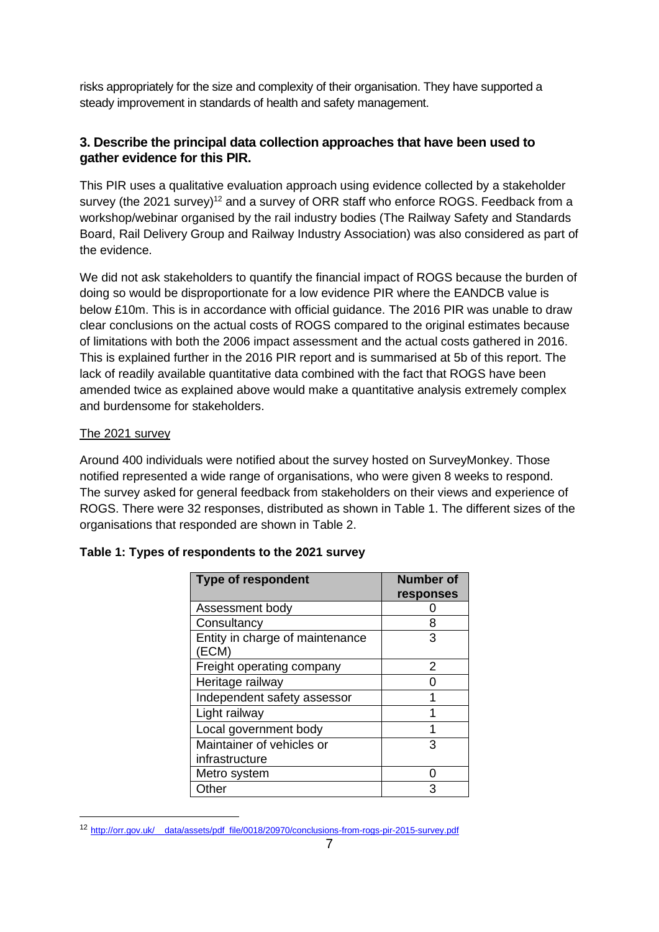risks appropriately for the size and complexity of their organisation. They have supported a steady improvement in standards of health and safety management.

# **3. Describe the principal data collection approaches that have been used to gather evidence for this PIR.**

This PIR uses a qualitative evaluation approach using evidence collected by a stakeholder survey (the 2021 survey)<sup>12</sup> and a survey of ORR staff who enforce ROGS. Feedback from a workshop/webinar organised by the rail industry bodies (The Railway Safety and Standards Board, Rail Delivery Group and Railway Industry Association) was also considered as part of the evidence.

We did not ask stakeholders to quantify the financial impact of ROGS because the burden of doing so would be disproportionate for a low evidence PIR where the EANDCB value is below £10m. This is in accordance with official guidance. The 2016 PIR was unable to draw clear conclusions on the actual costs of ROGS compared to the original estimates because of limitations with both the 2006 impact assessment and the actual costs gathered in 2016. This is explained further in the 2016 PIR report and is summarised at 5b of this report. The lack of readily available quantitative data combined with the fact that ROGS have been amended twice as explained above would make a quantitative analysis extremely complex and burdensome for stakeholders.

### The 2021 survey

Around 400 individuals were notified about the survey hosted on SurveyMonkey. Those notified represented a wide range of organisations, who were given 8 weeks to respond. The survey asked for general feedback from stakeholders on their views and experience of ROGS. There were 32 responses, distributed as shown in Table 1. The different sizes of the organisations that responded are shown in Table 2.

| <b>Type of respondent</b>                | <b>Number of</b> |
|------------------------------------------|------------------|
|                                          | responses        |
| Assessment body                          |                  |
| Consultancy                              | 8                |
| Entity in charge of maintenance<br>(ECM) | З                |
| Freight operating company                | 2                |
| Heritage railway                         |                  |
| Independent safety assessor              |                  |
| Light railway                            |                  |
| Local government body                    |                  |
| Maintainer of vehicles or                | З                |
| infrastructure                           |                  |
| Metro system                             |                  |
| Other                                    |                  |

## **Table 1: Types of respondents to the 2021 survey**

<sup>12</sup> [http://orr.gov.uk/\\_\\_data/assets/pdf\\_file/0018/20970/conclusions-from-rogs-pir-2015-survey.pdf](http://orr.gov.uk/__data/assets/pdf_file/0018/20970/conclusions-from-rogs-pir-2015-survey.pdf)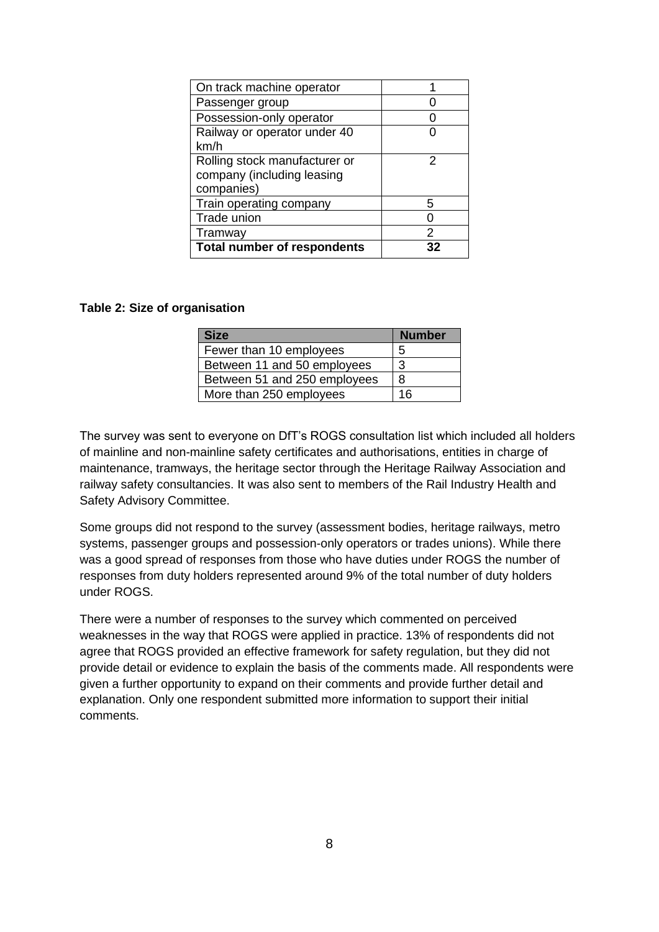| On track machine operator          |    |
|------------------------------------|----|
| Passenger group                    |    |
| Possession-only operator           |    |
| Railway or operator under 40       |    |
| km/h                               |    |
| Rolling stock manufacturer or      |    |
| company (including leasing         |    |
| companies)                         |    |
| Train operating company            | 5  |
| Trade union                        |    |
| Tramway                            | 2  |
| <b>Total number of respondents</b> | 32 |

#### **Table 2: Size of organisation**

| <b>Size</b>                  | <b>Number</b> |
|------------------------------|---------------|
| Fewer than 10 employees      | 5             |
| Between 11 and 50 employees  | 3             |
| Between 51 and 250 employees | 8             |
| More than 250 employees      | 16            |

The survey was sent to everyone on DfT's ROGS consultation list which included all holders of mainline and non-mainline safety certificates and authorisations, entities in charge of maintenance, tramways, the heritage sector through the Heritage Railway Association and railway safety consultancies. It was also sent to members of the Rail Industry Health and Safety Advisory Committee.

Some groups did not respond to the survey (assessment bodies, heritage railways, metro systems, passenger groups and possession-only operators or trades unions). While there was a good spread of responses from those who have duties under ROGS the number of responses from duty holders represented around 9% of the total number of duty holders under ROGS.

There were a number of responses to the survey which commented on perceived weaknesses in the way that ROGS were applied in practice. 13% of respondents did not agree that ROGS provided an effective framework for safety regulation, but they did not provide detail or evidence to explain the basis of the comments made. All respondents were given a further opportunity to expand on their comments and provide further detail and explanation. Only one respondent submitted more information to support their initial comments.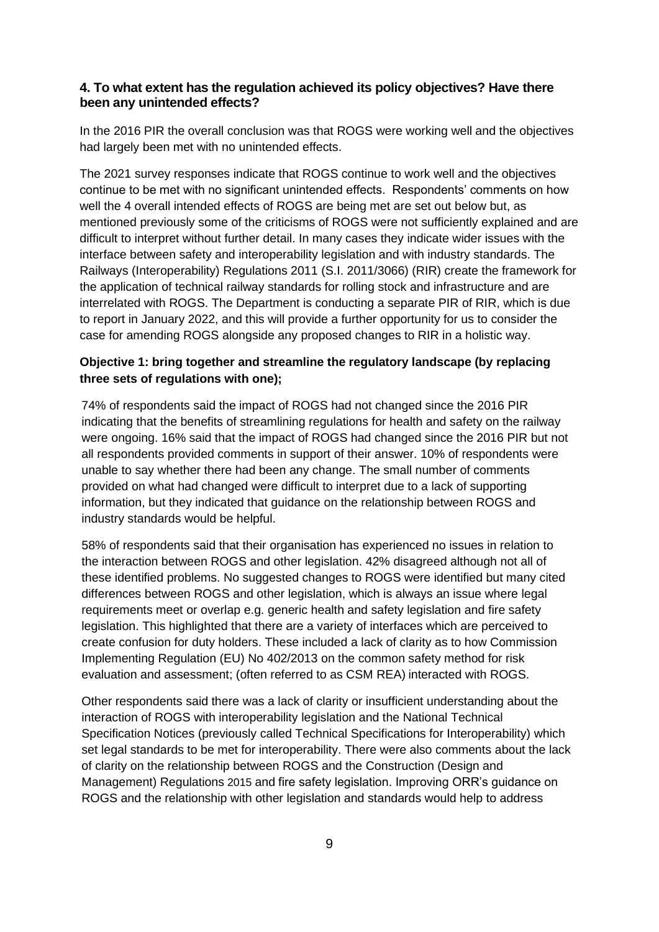## **4. To what extent has the regulation achieved its policy objectives? Have there been any unintended effects?**

In the 2016 PIR the overall conclusion was that ROGS were working well and the objectives had largely been met with no unintended effects.

The 2021 survey responses indicate that ROGS continue to work well and the objectives continue to be met with no significant unintended effects. Respondents' comments on how well the 4 overall intended effects of ROGS are being met are set out below but, as mentioned previously some of the criticisms of ROGS were not sufficiently explained and are difficult to interpret without further detail. In many cases they indicate wider issues with the interface between safety and interoperability legislation and with industry standards. The Railways (Interoperability) Regulations 2011 (S.I. 2011/3066) (RIR) create the framework for the application of technical railway standards for rolling stock and infrastructure and are interrelated with ROGS. The Department is conducting a separate PIR of RIR, which is due to report in January 2022, and this will provide a further opportunity for us to consider the case for amending ROGS alongside any proposed changes to RIR in a holistic way.

## **Objective 1: bring together and streamline the regulatory landscape (by replacing three sets of regulations with one);**

74% of respondents said the impact of ROGS had not changed since the 2016 PIR indicating that the benefits of streamlining regulations for health and safety on the railway were ongoing. 16% said that the impact of ROGS had changed since the 2016 PIR but not all respondents provided comments in support of their answer. 10% of respondents were unable to say whether there had been any change. The small number of comments provided on what had changed were difficult to interpret due to a lack of supporting information, but they indicated that guidance on the relationship between ROGS and industry standards would be helpful.

58% of respondents said that their organisation has experienced no issues in relation to the interaction between ROGS and other legislation. 42% disagreed although not all of these identified problems. No suggested changes to ROGS were identified but many cited differences between ROGS and other legislation, which is always an issue where legal requirements meet or overlap e.g. generic health and safety legislation and fire safety legislation. This highlighted that there are a variety of interfaces which are perceived to create confusion for duty holders. These included a lack of clarity as to how Commission Implementing Regulation (EU) No 402/2013 on the common safety method for risk evaluation and assessment; (often referred to as CSM REA) interacted with ROGS.

Other respondents said there was a lack of clarity or insufficient understanding about the interaction of ROGS with interoperability legislation and the National Technical Specification Notices (previously called Technical Specifications for Interoperability) which set legal standards to be met for interoperability. There were also comments about the lack of clarity on the relationship between ROGS and the Construction (Design and Management) Regulations 2015 and fire safety legislation. Improving ORR's guidance on ROGS and the relationship with other legislation and standards would help to address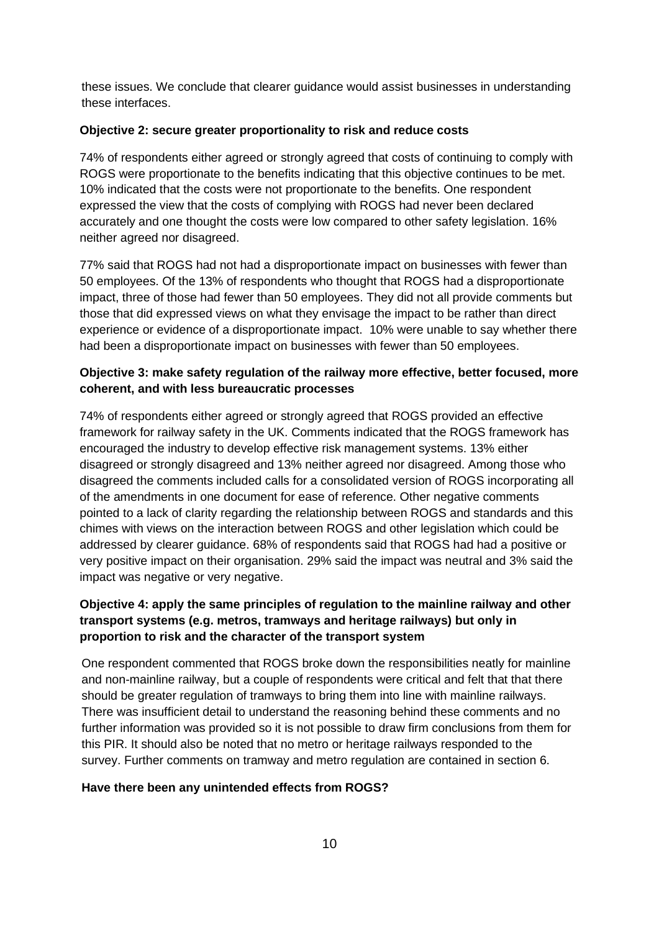these issues. We conclude that clearer guidance would assist businesses in understanding these interfaces.

#### **Objective 2: secure greater proportionality to risk and reduce costs**

74% of respondents either agreed or strongly agreed that costs of continuing to comply with ROGS were proportionate to the benefits indicating that this objective continues to be met. 10% indicated that the costs were not proportionate to the benefits. One respondent expressed the view that the costs of complying with ROGS had never been declared accurately and one thought the costs were low compared to other safety legislation. 16% neither agreed nor disagreed.

77% said that ROGS had not had a disproportionate impact on businesses with fewer than 50 employees. Of the 13% of respondents who thought that ROGS had a disproportionate impact, three of those had fewer than 50 employees. They did not all provide comments but those that did expressed views on what they envisage the impact to be rather than direct experience or evidence of a disproportionate impact. 10% were unable to say whether there had been a disproportionate impact on businesses with fewer than 50 employees.

### **Objective 3: make safety regulation of the railway more effective, better focused, more coherent, and with less bureaucratic processes**

74% of respondents either agreed or strongly agreed that ROGS provided an effective framework for railway safety in the UK. Comments indicated that the ROGS framework has encouraged the industry to develop effective risk management systems. 13% either disagreed or strongly disagreed and 13% neither agreed nor disagreed. Among those who disagreed the comments included calls for a consolidated version of ROGS incorporating all of the amendments in one document for ease of reference. Other negative comments pointed to a lack of clarity regarding the relationship between ROGS and standards and this chimes with views on the interaction between ROGS and other legislation which could be addressed by clearer guidance. 68% of respondents said that ROGS had had a positive or very positive impact on their organisation. 29% said the impact was neutral and 3% said the impact was negative or very negative.

## **Objective 4: apply the same principles of regulation to the mainline railway and other transport systems (e.g. metros, tramways and heritage railways) but only in proportion to risk and the character of the transport system**

One respondent commented that ROGS broke down the responsibilities neatly for mainline and non-mainline railway, but a couple of respondents were critical and felt that that there should be greater regulation of tramways to bring them into line with mainline railways. There was insufficient detail to understand the reasoning behind these comments and no further information was provided so it is not possible to draw firm conclusions from them for this PIR. It should also be noted that no metro or heritage railways responded to the survey. Further comments on tramway and metro regulation are contained in section 6.

#### **Have there been any unintended effects from ROGS?**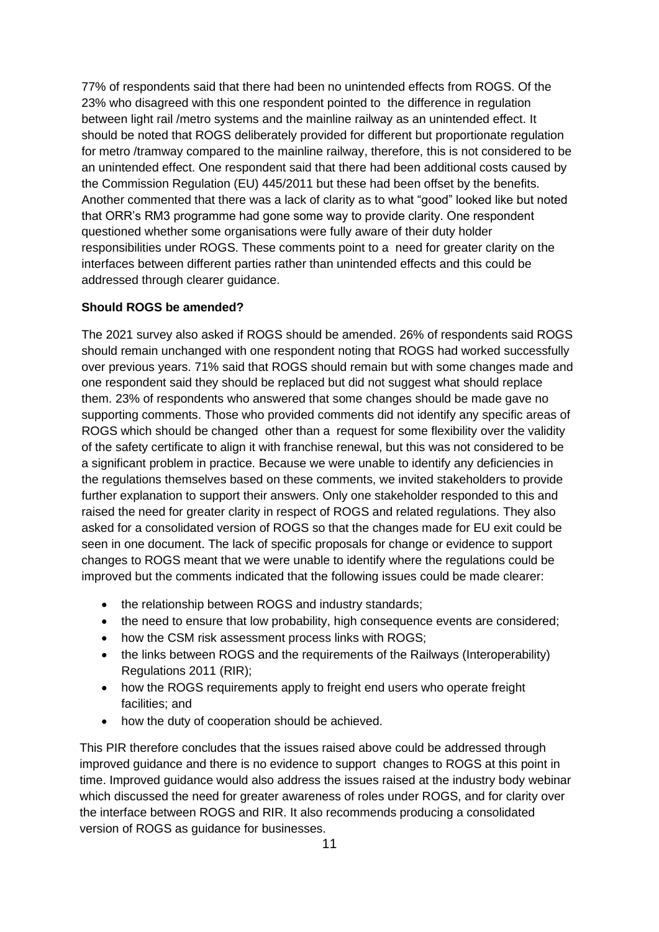77% of respondents said that there had been no unintended effects from ROGS. Of the 23% who disagreed with this one respondent pointed to the difference in regulation between light rail /metro systems and the mainline railway as an unintended effect. It should be noted that ROGS deliberately provided for different but proportionate regulation for metro /tramway compared to the mainline railway, therefore, this is not considered to be an unintended effect. One respondent said that there had been additional costs caused by the Commission Regulation (EU) 445/2011 but these had been offset by the benefits. Another commented that there was a lack of clarity as to what "good" looked like but noted that ORR's RM3 programme had gone some way to provide clarity. One respondent questioned whether some organisations were fully aware of their duty holder responsibilities under ROGS. These comments point to a need for greater clarity on the interfaces between different parties rather than unintended effects and this could be addressed through clearer guidance.

#### **Should ROGS be amended?**

The 2021 survey also asked if ROGS should be amended. 26% of respondents said ROGS should remain unchanged with one respondent noting that ROGS had worked successfully over previous years. 71% said that ROGS should remain but with some changes made and one respondent said they should be replaced but did not suggest what should replace them. 23% of respondents who answered that some changes should be made gave no supporting comments. Those who provided comments did not identify any specific areas of ROGS which should be changed other than a request for some flexibility over the validity of the safety certificate to align it with franchise renewal, but this was not considered to be a significant problem in practice. Because we were unable to identify any deficiencies in the regulations themselves based on these comments, we invited stakeholders to provide further explanation to support their answers. Only one stakeholder responded to this and raised the need for greater clarity in respect of ROGS and related regulations. They also asked for a consolidated version of ROGS so that the changes made for EU exit could be seen in one document. The lack of specific proposals for change or evidence to support changes to ROGS meant that we were unable to identify where the regulations could be improved but the comments indicated that the following issues could be made clearer:

- the relationship between ROGS and industry standards;
- the need to ensure that low probability, high consequence events are considered;
- how the CSM risk assessment process links with ROGS;
- the links between ROGS and the requirements of the Railways (Interoperability) Regulations 2011 (RIR);
- how the ROGS requirements apply to freight end users who operate freight facilities; and
- how the duty of cooperation should be achieved.

This PIR therefore concludes that the issues raised above could be addressed through improved guidance and there is no evidence to support changes to ROGS at this point in time. Improved guidance would also address the issues raised at the industry body webinar which discussed the need for greater awareness of roles under ROGS, and for clarity over the interface between ROGS and RIR. It also recommends producing a consolidated version of ROGS as guidance for businesses.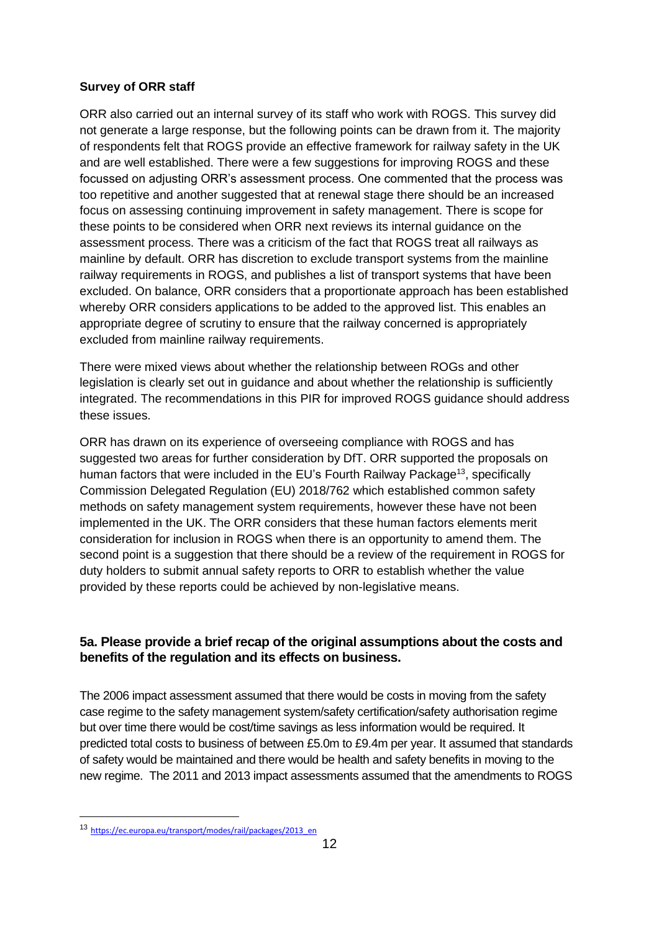#### **Survey of ORR staff**

ORR also carried out an internal survey of its staff who work with ROGS. This survey did not generate a large response, but the following points can be drawn from it. The majority of respondents felt that ROGS provide an effective framework for railway safety in the UK and are well established. There were a few suggestions for improving ROGS and these focussed on adjusting ORR's assessment process. One commented that the process was too repetitive and another suggested that at renewal stage there should be an increased focus on assessing continuing improvement in safety management. There is scope for these points to be considered when ORR next reviews its internal guidance on the assessment process. There was a criticism of the fact that ROGS treat all railways as mainline by default. ORR has discretion to exclude transport systems from the mainline railway requirements in ROGS, and publishes a list of transport systems that have been excluded. On balance, ORR considers that a proportionate approach has been established whereby ORR considers applications to be added to the approved list. This enables an appropriate degree of scrutiny to ensure that the railway concerned is appropriately excluded from mainline railway requirements.

There were mixed views about whether the relationship between ROGs and other legislation is clearly set out in guidance and about whether the relationship is sufficiently integrated. The recommendations in this PIR for improved ROGS guidance should address these issues.

ORR has drawn on its experience of overseeing compliance with ROGS and has suggested two areas for further consideration by DfT. ORR supported the proposals on human factors that were included in the EU's Fourth Railway Package<sup>13</sup>, specifically Commission Delegated Regulation (EU) 2018/762 which established common safety methods on safety management system requirements, however these have not been implemented in the UK. The ORR considers that these human factors elements merit consideration for inclusion in ROGS when there is an opportunity to amend them. The second point is a suggestion that there should be a review of the requirement in ROGS for duty holders to submit annual safety reports to ORR to establish whether the value provided by these reports could be achieved by non-legislative means.

## **5a. Please provide a brief recap of the original assumptions about the costs and benefits of the regulation and its effects on business.**

The 2006 impact assessment assumed that there would be costs in moving from the safety case regime to the safety management system/safety certification/safety authorisation regime but over time there would be cost/time savings as less information would be required. It predicted total costs to business of between £5.0m to £9.4m per year. It assumed that standards of safety would be maintained and there would be health and safety benefits in moving to the new regime. The 2011 and 2013 impact assessments assumed that the amendments to ROGS

<sup>13</sup> https://ec.europa.eu/transport/modes/rail/packages/2013\_en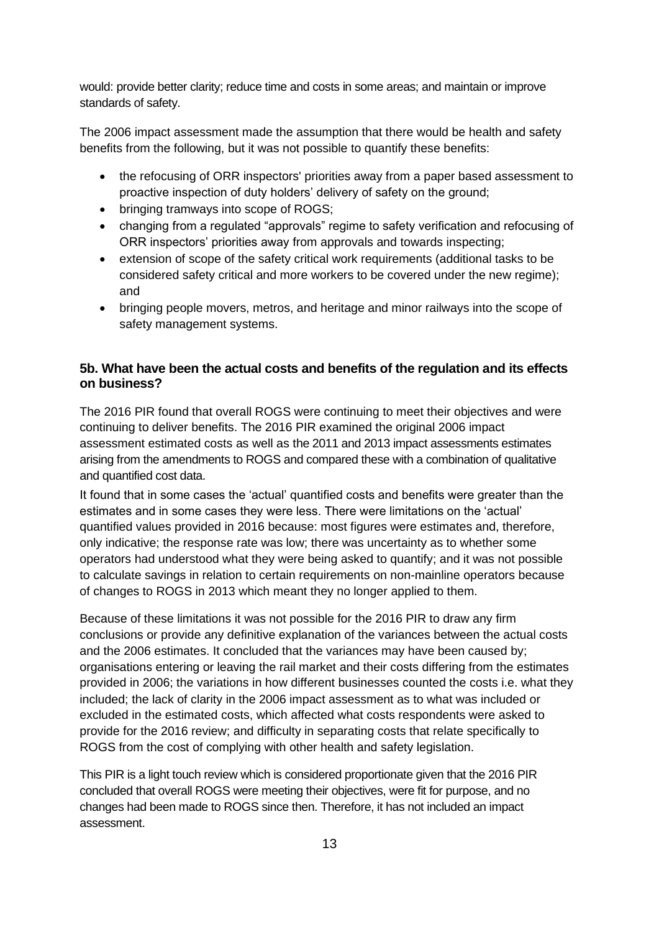would: provide better clarity; reduce time and costs in some areas; and maintain or improve standards of safety.

The 2006 impact assessment made the assumption that there would be health and safety benefits from the following, but it was not possible to quantify these benefits:

- the refocusing of ORR inspectors' priorities away from a paper based assessment to proactive inspection of duty holders' delivery of safety on the ground;
- bringing tramways into scope of ROGS;
- changing from a regulated "approvals" regime to safety verification and refocusing of ORR inspectors' priorities away from approvals and towards inspecting;
- extension of scope of the safety critical work requirements (additional tasks to be considered safety critical and more workers to be covered under the new regime); and
- bringing people movers, metros, and heritage and minor railways into the scope of safety management systems.

## **5b. What have been the actual costs and benefits of the regulation and its effects on business?**

The 2016 PIR found that overall ROGS were continuing to meet their objectives and were continuing to deliver benefits. The 2016 PIR examined the original 2006 impact assessment estimated costs as well as the 2011 and 2013 impact assessments estimates arising from the amendments to ROGS and compared these with a combination of qualitative and quantified cost data.

It found that in some cases the 'actual' quantified costs and benefits were greater than the estimates and in some cases they were less. There were limitations on the 'actual' quantified values provided in 2016 because: most figures were estimates and, therefore, only indicative; the response rate was low; there was uncertainty as to whether some operators had understood what they were being asked to quantify; and it was not possible to calculate savings in relation to certain requirements on non-mainline operators because of changes to ROGS in 2013 which meant they no longer applied to them.

Because of these limitations it was not possible for the 2016 PIR to draw any firm conclusions or provide any definitive explanation of the variances between the actual costs and the 2006 estimates. It concluded that the variances may have been caused by; organisations entering or leaving the rail market and their costs differing from the estimates provided in 2006; the variations in how different businesses counted the costs i.e. what they included; the lack of clarity in the 2006 impact assessment as to what was included or excluded in the estimated costs, which affected what costs respondents were asked to provide for the 2016 review; and difficulty in separating costs that relate specifically to ROGS from the cost of complying with other health and safety legislation.

This PIR is a light touch review which is considered proportionate given that the 2016 PIR concluded that overall ROGS were meeting their objectives, were fit for purpose, and no changes had been made to ROGS since then. Therefore, it has not included an impact assessment.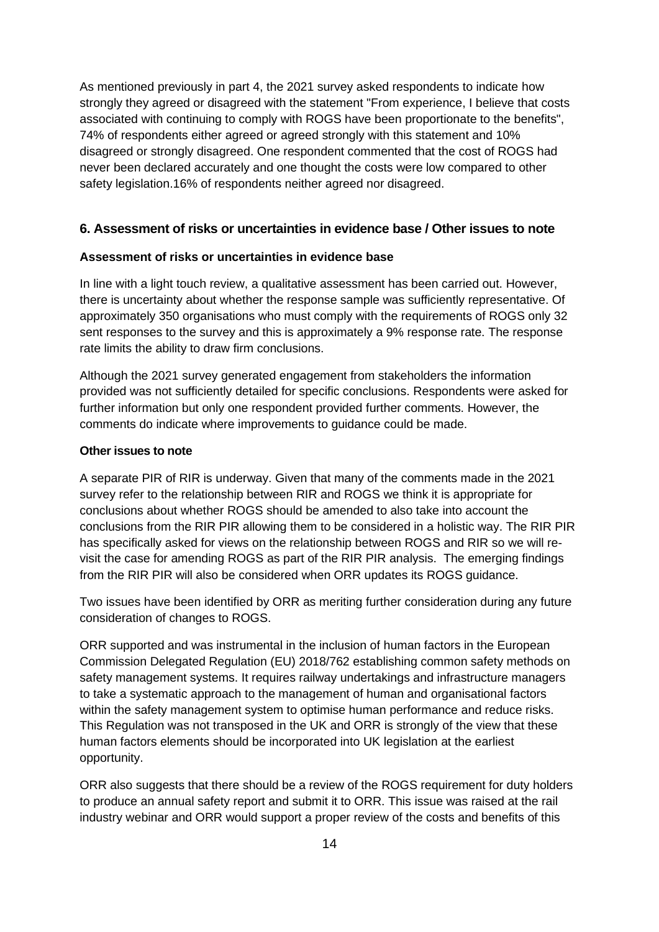As mentioned previously in part 4, the 2021 survey asked respondents to indicate how strongly they agreed or disagreed with the statement "From experience, I believe that costs associated with continuing to comply with ROGS have been proportionate to the benefits", 74% of respondents either agreed or agreed strongly with this statement and 10% disagreed or strongly disagreed. One respondent commented that the cost of ROGS had never been declared accurately and one thought the costs were low compared to other safety legislation.16% of respondents neither agreed nor disagreed.

#### **6. Assessment of risks or uncertainties in evidence base / Other issues to note**

#### **Assessment of risks or uncertainties in evidence base**

In line with a light touch review, a qualitative assessment has been carried out. However, there is uncertainty about whether the response sample was sufficiently representative. Of approximately 350 organisations who must comply with the requirements of ROGS only 32 sent responses to the survey and this is approximately a 9% response rate. The response rate limits the ability to draw firm conclusions.

Although the 2021 survey generated engagement from stakeholders the information provided was not sufficiently detailed for specific conclusions. Respondents were asked for further information but only one respondent provided further comments. However, the comments do indicate where improvements to guidance could be made.

#### **Other issues to note**

A separate PIR of RIR is underway. Given that many of the comments made in the 2021 survey refer to the relationship between RIR and ROGS we think it is appropriate for conclusions about whether ROGS should be amended to also take into account the conclusions from the RIR PIR allowing them to be considered in a holistic way. The RIR PIR has specifically asked for views on the relationship between ROGS and RIR so we will revisit the case for amending ROGS as part of the RIR PIR analysis. The emerging findings from the RIR PIR will also be considered when ORR updates its ROGS guidance.

Two issues have been identified by ORR as meriting further consideration during any future consideration of changes to ROGS.

ORR supported and was instrumental in the inclusion of human factors in the European Commission Delegated Regulation (EU) 2018/762 establishing common safety methods on safety management systems. It requires railway undertakings and infrastructure managers to take a systematic approach to the management of human and organisational factors within the safety management system to optimise human performance and reduce risks. This Regulation was not transposed in the UK and ORR is strongly of the view that these human factors elements should be incorporated into UK legislation at the earliest opportunity.

ORR also suggests that there should be a review of the ROGS requirement for duty holders to produce an annual safety report and submit it to ORR. This issue was raised at the rail industry webinar and ORR would support a proper review of the costs and benefits of this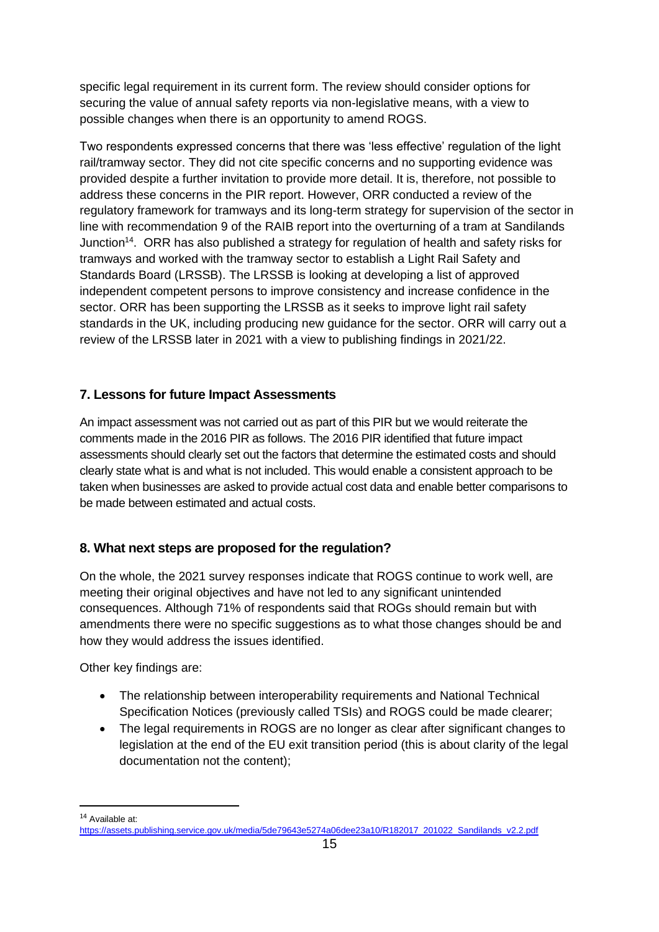specific legal requirement in its current form. The review should consider options for securing the value of annual safety reports via non-legislative means, with a view to possible changes when there is an opportunity to amend ROGS.

Two respondents expressed concerns that there was 'less effective' regulation of the light rail/tramway sector. They did not cite specific concerns and no supporting evidence was provided despite a further invitation to provide more detail. It is, therefore, not possible to address these concerns in the PIR report. However, ORR conducted a review of the regulatory framework for tramways and its long-term strategy for supervision of the sector in line with recommendation 9 of the RAIB report into the overturning of a tram at Sandilands Junction<sup>14</sup>. ORR has also published a strategy for regulation of health and safety risks for tramways and worked with the tramway sector to establish a Light Rail Safety and Standards Board (LRSSB). The LRSSB is looking at developing a list of approved independent competent persons to improve consistency and increase confidence in the sector. ORR has been supporting the LRSSB as it seeks to improve light rail safety standards in the UK, including producing new guidance for the sector. ORR will carry out a review of the LRSSB later in 2021 with a view to publishing findings in 2021/22.

# **7. Lessons for future Impact Assessments**

An impact assessment was not carried out as part of this PIR but we would reiterate the comments made in the 2016 PIR as follows. The 2016 PIR identified that future impact assessments should clearly set out the factors that determine the estimated costs and should clearly state what is and what is not included. This would enable a consistent approach to be taken when businesses are asked to provide actual cost data and enable better comparisons to be made between estimated and actual costs.

# **8. What next steps are proposed for the regulation?**

On the whole, the 2021 survey responses indicate that ROGS continue to work well, are meeting their original objectives and have not led to any significant unintended consequences. Although 71% of respondents said that ROGs should remain but with amendments there were no specific suggestions as to what those changes should be and how they would address the issues identified.

Other key findings are:

- The relationship between interoperability requirements and National Technical Specification Notices (previously called TSIs) and ROGS could be made clearer;
- The legal requirements in ROGS are no longer as clear after significant changes to legislation at the end of the EU exit transition period (this is about clarity of the legal documentation not the content);

<sup>14</sup> Available at:

[https://assets.publishing.service.gov.uk/media/5de79643e5274a06dee23a10/R182017\\_201022\\_Sandilands\\_v2.2.pdf](https://assets.publishing.service.gov.uk/media/5de79643e5274a06dee23a10/R182017_201022_Sandilands_v2.2.pdf)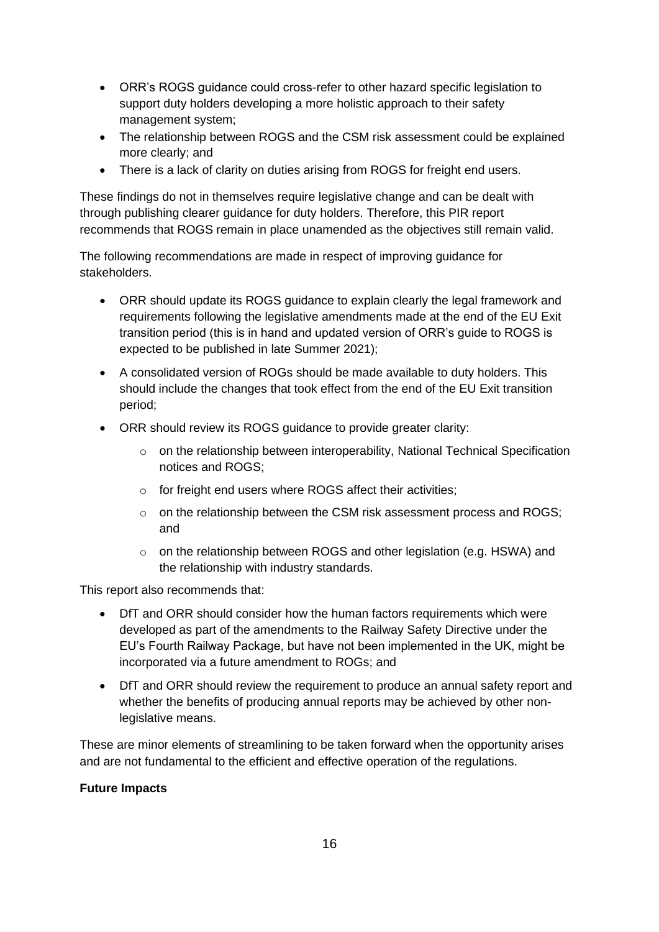- ORR's ROGS guidance could cross-refer to other hazard specific legislation to support duty holders developing a more holistic approach to their safety management system;
- The relationship between ROGS and the CSM risk assessment could be explained more clearly; and
- There is a lack of clarity on duties arising from ROGS for freight end users.

These findings do not in themselves require legislative change and can be dealt with through publishing clearer guidance for duty holders. Therefore, this PIR report recommends that ROGS remain in place unamended as the objectives still remain valid.

The following recommendations are made in respect of improving guidance for stakeholders.

- ORR should update its ROGS quidance to explain clearly the legal framework and requirements following the legislative amendments made at the end of the EU Exit transition period (this is in hand and updated version of ORR's guide to ROGS is expected to be published in late Summer 2021);
- A consolidated version of ROGs should be made available to duty holders. This should include the changes that took effect from the end of the EU Exit transition period;
- ORR should review its ROGS guidance to provide greater clarity:
	- $\circ$  on the relationship between interoperability, National Technical Specification notices and ROGS;
	- o for freight end users where ROGS affect their activities;
	- $\circ$  on the relationship between the CSM risk assessment process and ROGS; and
	- o on the relationship between ROGS and other legislation (e.g. HSWA) and the relationship with industry standards.

This report also recommends that:

- DfT and ORR should consider how the human factors requirements which were developed as part of the amendments to the Railway Safety Directive under the EU's Fourth Railway Package, but have not been implemented in the UK, might be incorporated via a future amendment to ROGs; and
- DfT and ORR should review the requirement to produce an annual safety report and whether the benefits of producing annual reports may be achieved by other nonlegislative means.

These are minor elements of streamlining to be taken forward when the opportunity arises and are not fundamental to the efficient and effective operation of the regulations.

#### **Future Impacts**